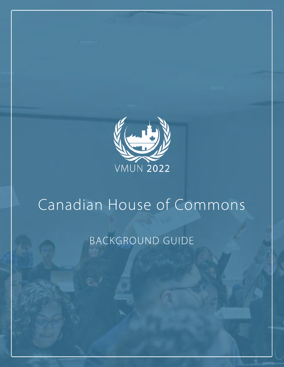

# Canadian House of Commons

# BACKGROUND GUIDE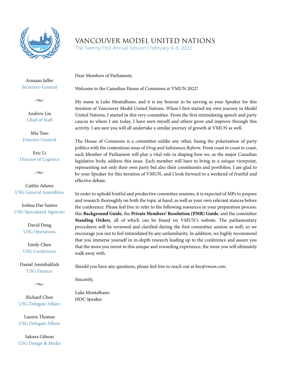

# VANCOUVER MODEL UNITED NATIONS

The Twenty-First Annual Session | February 4–6, 2022

Dear Members of Parliament,

Armaan Jaffer Secretary-General

 $\sim$ 

Andrew Liu Chief of Staff

Mia Tsao Director-General

Eric Li Director of Logistics

 $\sim$ 

Caitlin Adams USG General Assemblies

Joshua Dar Santos USG Specialized Agencies

> David Deng USG Operations

Emily Chen USG Conference

Daniel Aminbakhsh USG Finance



Richard Chen USG Delegate Affairs

Lauren Thomas USG Delegate Affairs

Sakura Gibson USG Design & Media Welcome to the Canadian House of Commons at VMUN 2022!

My name is Luke Montalbano, and it is my honour to be serving as your Speaker for this iteration of Vancouver Model United Nations. When I first started my own journey in Model United Nations, I started in this very committee. From the first intimidating speech and party caucus to where I am today, I have seen myself and others grow and improve through this activity. I am sure you will all undertake a similar journey of growth at VMUN as well.

The House of Commons is a committee unlike any other, fusing the polarization of party politics with the contentious issue of *Drug and Substances Reform*. From coast to coast to coast, each Member of Parliament will play a vital role in shaping how we, as the major Canadian legislative body, address this issue. Each member will have to bring in a unique viewpoint, representing not only their own party but also their constituents and portfolios. I am glad to be your Speaker for this iteration of VMUN, and I look forward to a weekend of fruitful and effective debate.

In order to uphold fruitful and productive committee sessions, it is expected of MPs to prepare and research thoroughly on both the topic at hand, as well as your own relevant stances before the conference. Please feel free to refer to the following resources in your preparation process: this **Background Guide**, the **Private Members' Resolution (PMR) Guide**, and the committee **Standing Orders**, all of which can be found on VMUN's website. The parliamentary procedures will be reviewed and clarified during the first committee session as well, so we encourage you not to feel intimidated by any unfamiliarity. In addition, we highly recommend that you immerse yourself in in-depth research leading up to the conference and assure you that the more you invest in this unique and rewarding experience, the more you will ultimately walk away with.

Should you have any questions, please feel free to reach out at *hoc@vmun.com*.

Sincerely,

Luke Montalbano HOC Speaker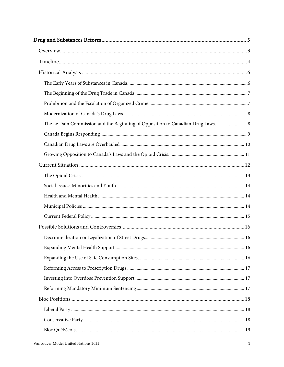| The Le Dain Commission and the Beginning of Opposition to Canadian Drug Laws |  |
|------------------------------------------------------------------------------|--|
|                                                                              |  |
|                                                                              |  |
|                                                                              |  |
|                                                                              |  |
|                                                                              |  |
|                                                                              |  |
|                                                                              |  |
|                                                                              |  |
|                                                                              |  |
|                                                                              |  |
|                                                                              |  |
|                                                                              |  |
|                                                                              |  |
|                                                                              |  |
|                                                                              |  |
|                                                                              |  |
|                                                                              |  |
|                                                                              |  |
|                                                                              |  |
|                                                                              |  |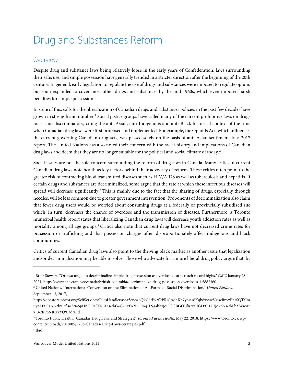# <span id="page-4-0"></span>Drug and Substances Reform

### <span id="page-4-1"></span>Overview

Despite drug and substance laws being relatively loose in the early years of Confederation, laws surrounding their sale, use, and simple possession have generally trended in a stricter direction after the beginning of the 20th century. In general, early legislation to regulate the use of drugs and substances were imposed to regulate opium, but soon expanded to cover most other drugs and substances by the mid-1960s, which even imposed harsh penalties for simple possession.

In spite of this, calls for the liberalization of Canadian drugs and substances policies in the past few decades have grown in strength and number.[1](#page-4-2) Social justice groups have called many of the current prohibitive laws on drugs racist and discriminatory, citing the anti-Asian, anti-Indigenous and anti-Black historical context of the time when Canadian drug laws were first proposed and implemented. For example, the Opioids Act, which influences the current governing Canadian drug acts, was passed solely on the basis of anti-Asian sentiment. In a 2017 report, The United Nations has also noted their concern with the racist history and implications of Canadian drug laws and deem that they are no longer suitable for the political and social climate of today.<sup>[2](#page-4-3)</sup>

Social issues are not the sole concern surrounding the reform of drug laws in Canada. Many critics of current Canadian drug laws note health as key factors behind their advocacy of reform. These critics often point to the greater risk of contracting blood transmitted diseases such as HIV/AIDS as well as tuberculosis and hepatitis. If certain drugs and substances are decriminalized, some argue that the rate at which these infectious diseases will spread will decrease significantly.<sup>[3](#page-4-4)</sup> This is mainly due to the fact that the sharing of drugs, especially through needles, will be less common due to greater government intervention. Proponents of decriminalization also claim that fewer drug users would be worried about consuming drugs at a federally or provincially subsidized site which, in turn, decreases the chance of overdose and the transmission of diseases. Furthermore, a Toronto municipal health report states that liberalizing Canadian drug laws will decrease youth addiction rates as well as mortality among all age groups.[4](#page-4-5) Critics also note that current drug laws have not decreased crime rates for possession or trafficking and that possession charges often disproportionately affect indigenous and black communities.

Critics of current Canadian drug laws also point to the thriving black market as another issue that legalization and/or decriminalization may be able to solve. Those who advocate for a more liberal drug policy argue that, by

<span id="page-4-2"></span><sup>&</sup>lt;sup>1</sup> Briar Stewart, "Ottawa urged to decriminalize simple drug possession as overdose deaths reach record highs," CBC, January 28, 2021, https://www.cbc.ca/news/canada/british-columbia/decriminalize-drug-possession-overdoses-1.5882360.

<span id="page-4-3"></span><sup>&</sup>lt;sup>2</sup> United Nations, "International Convention on the Elimination of All Forms of Racial Discrimination," United Nations, September 13, 2017,

https://docstore.ohchr.org/SelfServices/FilesHandler.ashx?enc=6QkG1d%2fPPRiCAqhKb7yhstz6Kqb8xvweVxiwIinyzEnrSQTaIm uyoLPtH1p%2b%2fBoA9aSpHnHOaSTR3D%2bGaG21xFo2B95JnqHNgalSwJoOiSGBGOUk6xxJIGD9T1UIJq2pb%2bLbXWwAt xJ%2fiP6NJCzvYQ%3d%3d.

<span id="page-4-5"></span><span id="page-4-4"></span><sup>&</sup>lt;sup>3</sup> Toronto Public Health, "Canada's Drug Laws and Strategies," Toronto Public Health, May 22, 2018, https://www.toronto.ca/wpcontent/uploads/2018/05/970c-Canadas-Drug-Laws-Strategies.pdf. <sup>4</sup> Ibid.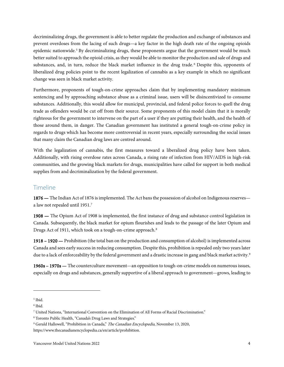decriminalizing drugs, the government is able to better regulate the production and exchange of substances and prevent overdoses from the lacing of such drugs—a key factor in the high death rate of the ongoing opioids epidemic nationwide.<sup>[5](#page-5-1)</sup> By decriminalizing drugs, these proponents argue that the government would be much better suited to approach the opioid crisis, as they would be able to monitor the production and sale of drugs and substances, and, in turn, reduce the black market influence in the drug trade. [6](#page-5-2) Despite this, opponents of liberalized drug policies point to the recent legalization of cannabis as a key example in which no significant change was seen in black market activity.

Furthermore, proponents of tough-on-crime approaches claim that by implementing mandatory minimum sentencing and by approaching substance abuse as a criminal issue, users will be disincentivized to consume substances. Additionally, this would allow for municipal, provincial, and federal police forces to quell the drug trade as offenders would be cut off from their source. Some proponents of this model claim that it is morally righteous for the government to intervene on the part of a user if they are putting their health, and the health of those around them, in danger. The Canadian government has instituted a general tough-on-crime policy in regards to drugs which has become more controversial in recent years, especially surrounding the social issues that many claim the Canadian drug laws are centred around.

With the legalization of cannabis, the first measures toward a liberalized drug policy have been taken. Additionally, with rising overdose rates across Canada, a rising rate of infection from HIV/AIDS in high-risk communities, and the growing black markets for drugs, municipalities have called for support in both medical supplies from and decriminalization by the federal government.

# <span id="page-5-0"></span>Timeline

1876 — The Indian Act of 1876 is implemented. The Act bans the possession of alcohol on Indigenous reserves a law not repealed until 1951.[7](#page-5-3)

1908 — The Opium Act of 1908 is implemented, the first instance of drug and substance control legislation in Canada. Subsequently, the black market for opium flourishes and leads to the passage of the later Opium and Drugs Act of 1911, which took on a tough-on-crime approach.<sup>[8](#page-5-4)</sup>

1918 – 1920 — Prohibition (the total ban on the production and consumption of alcohol) is implemented across Canada and sees early success in reducing consumption. Despite this, prohibition is repealed only two years later due to a lack of enforceability by the federal government and a drastic increase in gang and black market activity.<sup>[9](#page-5-5)</sup>

1960s – 1970s — The counterculture movement—an opposition to tough-on-crime models on numerous issues, especially on drugs and substances, generally supportive of a liberal approach to government—grows, leading to

<span id="page-5-1"></span><sup>5</sup> Ibid.

<span id="page-5-2"></span><sup>6</sup> Ibid.

<span id="page-5-3"></span><sup>7</sup> United Nations, "International Convention on the Elimination of All Forms of Racial Discrimination."

<span id="page-5-4"></span><sup>8</sup> Toronto Public Health, "Canada's Drug Laws and Strategies."

<span id="page-5-5"></span><sup>9</sup> Gerald Hallowell, "Prohibition in Canada," The Canadian Encyclopedia, November 13, 2020, https://www.thecanadianencyclopedia.ca/en/article/prohibition.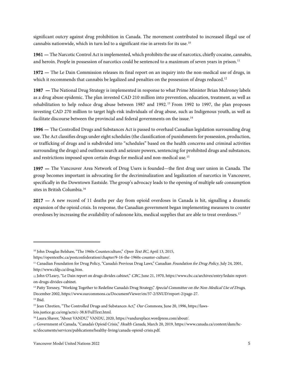significant outcry against drug prohibition in Canada. The movement contributed to increased illegal use of cannabis nationwide, which in turn led to a significant rise in arrests for its use.[10](#page-6-0)

1961 — The Narcotic Control Act is implemented, which prohibits the use of narcotics, chiefly cocaine, cannabis, and heroin. People in possession of narcotics could be sentenced to a maximum of seven years in prison.<sup>[11](#page-6-1)</sup>

1972 — The Le Dain Commission releases its final report on an inquiry into the non-medical use of drugs, in which it recommends that cannabis be legalized and penalties on the possession of drugs reduced.<sup>[12](#page-6-2)</sup>

1987 — The National Drug Strategy is implemented in response to what Prime Minister Brian Mulroney labels as a drug abuse epidemic. The plan invested CAD 210 million into prevention, education, treatment, as well as rehabilitation to help reduce drug abuse between 1987 and 1992.<sup>[13](#page-6-3)</sup> From 1992 to 1997, the plan proposes investing CAD 270 million to target high-risk individuals of drug abuse, such as Indigenous youth, as well as facilitate discourse between the provincial and federal governments on the issue.<sup>[14](#page-6-4)</sup>

1996 — The Controlled Drugs and Substances Act is passed to overhaul Canadian legislation surrounding drug use. The Act classifies drugs under eight schedules (the classification of punishments for possession, production, or trafficking of drugs and is subdivided into "schedules" based on the health concerns and criminal activities surrounding the drugs) and outlines search and seizure powers, sentencing for prohibited drugs and substances, and restrictions imposed upon certain drugs for medical and non-medical use.<sup>[15](#page-6-5)</sup>

1997 — The Vancouver Area Network of Drug Users is founded—the first drug user union in Canada. The group becomes important in advocating for the decriminalization and legalization of narcotics in Vancouver, specifically in the Downtown Eastside. The group's advocacy leads to the opening of multiple safe consumption sites in British Columbia.[16](#page-6-6)

2017 — A new record of 11 deaths per day from opioid overdoses in Canada is hit, signalling a dramatic expansion of the opioid crisis. In response, the Canadian government began implementing measures to counter overdoses by increasing the availability of naloxone kits, medical supplies that are able to treat overdoses.<sup>[17](#page-6-7)</sup>

<span id="page-6-0"></span><sup>&</sup>lt;sup>10</sup> John Douglas Belshaw, "The 1960s Counterculture," Open Text BC, April 13, 2015,

https://opentextbc.ca/postconfederation/chapter/9-16-the-1960s-counter-culture/.

<span id="page-6-1"></span><sup>&</sup>lt;sup>11</sup> Canadian Foundation for Drug Policy, "Canada's Previous Drug Laws," Canadian Foundation for Drug Policy, July 24, 2001, http://www.cfdp.ca/drug.htm.

<span id="page-6-2"></span><sup>12</sup> John O'Leary, "Le Dain report on drugs divides cabinet," CBC, June 21, 1970, https://www.cbc.ca/archives/entry/ledain-reporton-drugs-divides-cabinet.

<span id="page-6-3"></span><sup>&</sup>lt;sup>13</sup> Patty Torsney, "Working Together to Redefine Canada's Drug Strategy," Special Committee on the Non-Medical Use of Drugs, December 2002, https://www.ourcommons.ca/DocumentViewer/en/37-2/SNUD/report-2/page-27.

<span id="page-6-4"></span><sup>14</sup> Ibid.

<span id="page-6-5"></span><sup>&</sup>lt;sup>15</sup> Jean Chretien, "The Controlled Drugs and Substances Act," Our Commons, June 20, 1996, https://laws-

lois.justice.gc.ca/eng/acts/c-38.8/FullText.html.

<span id="page-6-6"></span><sup>16</sup> Laura Shaver, "About VANDU," VANDU, 2020, https://vandureplace.wordpress.com/about/.

<span id="page-6-7"></span><sup>17</sup> Government of Canada, "Canada's Opioid Crisis," Health Canada, March 20, 2019, https://www.canada.ca/content/dam/hcsc/documents/services/publications/healthy-living/canada-opioid-crisis.pdf.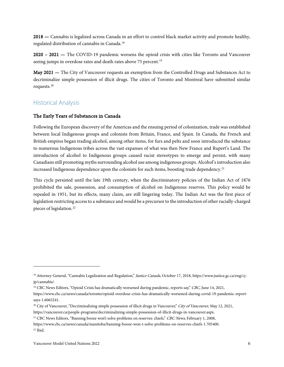2018 — Cannabis is legalized across Canada in an effort to control black market activity and promote healthy, regulated distribution of cannabis in Canada.[18](#page-7-2)

2020 – 2021 — The COVID-19 pandemic worsens the opioid crisis with cities like Toronto and Vancouver seeing jumps in overdose rates and death rates above 75 percent.<sup>[19](#page-7-3)</sup>

May 2021 — The City of Vancouver requests an exemption from the Controlled Drugs and Substances Act to decriminalize simple possession of illicit drugs. The cities of Toronto and Montreal have submitted similar requests.[20](#page-7-4)

# <span id="page-7-0"></span>Historical Analysis

#### <span id="page-7-1"></span>The Early Years of Substances in Canada

Following the European discovery of the Americas and the ensuing period of colonization, trade was established between local Indigenous groups and colonists from Britain, France, and Spain. In Canada, the French and British empires began trading alcohol, among other items, for furs and pelts and soon introduced the substance to numerous Indigenous tribes across the vast expanses of what was then New France and Rupert's Land. The introduction of alcohol to Indigenous groups caused racist stereotypes to emerge and persist, with many Canadians still promoting myths surrounding alcohol use among indigenous groups. Alcohol's introduction also increased Indigenous dependence upon the colonists for such items, boosting trade dependency.<sup>[21](#page-7-5)</sup>

This cycle persisted until the late 19th century, when the discriminatory policies of the Indian Act of 1876 prohibited the sale, possession, and consumption of alcohol on Indigenous reserves. This policy would be repealed in 1951, but its effects, many claim, are still lingering today. The Indian Act was the first piece of legislation restricting access to a substance and would be a precursor to the introduction of other racially-charged pieces of legislation.<sup>[22](#page-7-6)</sup>

<span id="page-7-2"></span><sup>&</sup>lt;sup>18</sup> Attorney General, "Cannabis Legalization and Regulation," Justice Canada, October 17, 2018, https://www.justice.gc.ca/eng/cjjp/cannabis/.

<span id="page-7-3"></span><sup>&</sup>lt;sup>19</sup> CBC News Editors, "Opioid Crisis has dramatically worsened during pandemic, reports say," CBC, June 14, 2021,

https://www.cbc.ca/news/canada/toronto/opioid-overdose-crisis-has-dramatically-worsened-during-covid-19-pandemic-reportsays-1.6065241.

<span id="page-7-4"></span><sup>&</sup>lt;sup>20</sup> City of Vancouver, "Decriminalizing simple possession of illicit drugs in Vancouver," City of Vancouver, May 12, 2021,

https://vancouver.ca/people-programs/decriminalizing-simple-possession-of-illicit-drugs-in-vancouver.aspx.

<span id="page-7-5"></span><sup>&</sup>lt;sup>21</sup> CBC News Editors, "Banning booze won't solve problems on reserves: chiefs," CBC News, February 1, 2008,

<span id="page-7-6"></span>https://www.cbc.ca/news/canada/manitoba/banning-booze-won-t-solve-problems-on-reserves-chiefs-1.705400.  $22$  Ibid.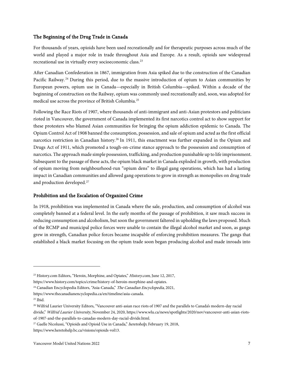#### <span id="page-8-0"></span>The Beginning of the Drug Trade in Canada

For thousands of years, opioids have been used recreationally and for therapeutic purposes across much of the world and played a major role in trade throughout Asia and Europe. As a result, opioids saw widespread recreational use in virtually every socioeconomic class.[23](#page-8-2)

After Canadian Confederation in 1867, immigration from Asia spiked due to the construction of the Canadian Pacific Railway. [24](#page-8-3) During this period, due to the massive introduction of opium to Asian communities by European powers, opium use in Canada—especially in British Columbia—spiked. Within a decade of the beginning of construction on the Railway, opium was commonly used recreationally and, soon, was adopted for medical use across the province of British Columbia.[25](#page-8-4)

Following the Race Riots of 1907, where thousands of anti-immigrant and anti-Asian protestors and politicians rioted in Vancouver, the government of Canada implemented its first narcotics control act to show support for these protesters who blamed Asian communities for bringing the opium addiction epidemic to Canada. The Opium Control Act of 1908 banned the consumption, possession, and sale of opium and acted as the first official narcotics restriction in Canadian history.<sup>[26](#page-8-5)</sup> In 1911, this enactment was further expanded in the Opium and Drugs Act of 1911, which promoted a tough-on-crime stance approach to the possession and consumption of narcotics. The approach made simple possession, trafficking, and production punishable up to life imprisonment. Subsequent to the passage of these acts, the opium black market in Canada exploded in growth, with production of opium moving from neighbourhood-run "opium dens" to illegal gang operations, which has had a lasting impact in Canadian communities and allowed gang operations to grow in strength as monopolies on drug trade and production developed.<sup>[27](#page-8-6)</sup>

#### <span id="page-8-1"></span>Prohibition and the Escalation of Organized Crime

In 1918, prohibition was implemented in Canada where the sale, production, and consumption of alcohol was completely banned at a federal level. In the early months of the passage of prohibition, it saw much success in reducing consumption and alcoholism, but soon the government faltered in upholding the laws proposed. Much of the RCMP and municipal police forces were unable to contain the illegal alcohol market and soon, as gangs grew in strength, Canadian police forces became incapable of enforcing prohibition measures. The gangs that established a black market focusing on the opium trade soon began producing alcohol and made inroads into

<span id="page-8-2"></span><sup>&</sup>lt;sup>23</sup> History.com Editors, "Heroin, Morphine, and Opiates," *History.com*, June 12, 2017,

https://www.history.com/topics/crime/history-of-heroin-morphine-and-opiates.

<span id="page-8-3"></span><sup>&</sup>lt;sup>24</sup> Canadian Encyclopedia Editors, "Asia-Canada," The Canadian Encyclopedia, 2021,

https://www.thecanadianencyclopedia.ca/en/timeline/asia-canada.

<span id="page-8-4"></span><sup>25</sup> Ibid.

<span id="page-8-5"></span><sup>&</sup>lt;sup>26</sup> Wilfrid Laurier University Editors, "Vancouver anti-asian race riots of 1907 and the parallels to Canada's modern-day racial divide," Wilfrid Laurier University, November 24, 2020, https://www.wlu.ca/news/spotlights/2020/nov/vancouver-anti-asian-riotsof-1907-and-the-parallels-to-canadas-modern-day-racial-divide.html.

<span id="page-8-6"></span><sup>&</sup>lt;sup>27</sup> Gaelle Nicolussi, "Opioids and Opioid Use in Canada," *heretohelp*, February 19, 2018,

https://www.heretohelp.bc.ca/visions/opioids-vol13.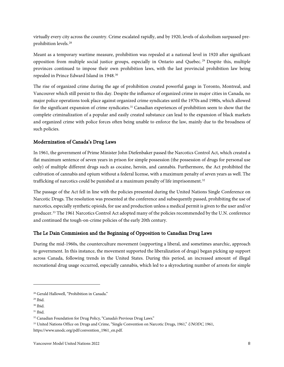virtually every city across the country. Crime escalated rapidly, and by 1920, levels of alcoholism surpassed preprohibition levels.[28](#page-9-2)

Meant as a temporary wartime measure, prohibition was repealed at a national level in 1920 after significant opposition from multiple social justice groups, especially in Ontario and Quebec. [29](#page-9-3) Despite this, multiple provinces continued to impose their own prohibition laws, with the last provincial prohibition law being repealed in Prince Edward Island in 1948.[30](#page-9-4)

The rise of organized crime during the age of prohibition created powerful gangs in Toronto, Montreal, and Vancouver which still persist to this day. Despite the influence of organized crime in major cities in Canada, no major police operations took place against organized crime syndicates until the 1970s and 1980s, which allowed for the significant expansion of crime syndicates.[31](#page-9-5) Canadian experiences of prohibition seem to show that the complete criminalization of a popular and easily created substance can lead to the expansion of black markets and organized crime with police forces often being unable to enforce the law, mainly due to the broadness of such policies.

#### <span id="page-9-0"></span>Modernization of Canada's Drug Laws

In 1961, the government of Prime Minister John Diefenbaker passed the Narcotics Control Act, which created a flat maximum sentence of seven years in prison for simple possession (the possession of drugs for personal use only) of multiple different drugs such as cocaine, heroin, and cannabis. Furthermore, the Act prohibited the cultivation of cannabis and opium without a federal license, with a maximum penalty of seven years as well. The trafficking of narcotics could be punished at a maximum penalty of life imprisonment.<sup>[32](#page-9-6)</sup>

The passage of the Act fell in line with the policies presented during the United Nations Single Conference on Narcotic Drugs. The resolution was presented at the conference and subsequently passed, prohibiting the use of narcotics, especially synthetic opioids, for use and production unless a medical permit is given to the user and/or producer.<sup>[33](#page-9-7)</sup> The 1961 Narcotics Control Act adopted many of the policies recommended by the U.N. conference and continued the tough-on-crime policies of the early 20th century.

#### <span id="page-9-1"></span>The Le Dain Commission and the Beginning of Opposition to Canadian Drug Laws

During the mid-1960s, the counterculture movement (supporting a liberal, and sometimes anarchic, approach to government. In this instance, the movement supported the liberalization of drugs) began picking up support across Canada, following trends in the United States. During this period, an increased amount of illegal recreational drug usage occurred, especially cannabis, which led to a skyrocketing number of arrests for simple

<span id="page-9-2"></span><sup>28</sup> Gerald Hallowell, "Prohibition in Canada."

<span id="page-9-3"></span><sup>29</sup> Ibid.

<span id="page-9-4"></span><sup>30</sup> Ibid.

<span id="page-9-5"></span><sup>31</sup> Ibid.

<span id="page-9-6"></span><sup>&</sup>lt;sup>32</sup> Canadian Foundation for Drug Policy, "Canada's Previous Drug Laws."

<span id="page-9-7"></span><sup>&</sup>lt;sup>33</sup> United Nations Office on Drugs and Crime, "Single Convention on Narcotic Drugs, 1961," UNODC, 1961, https://www.unodc.org/pdf/convention\_1961\_en.pdf.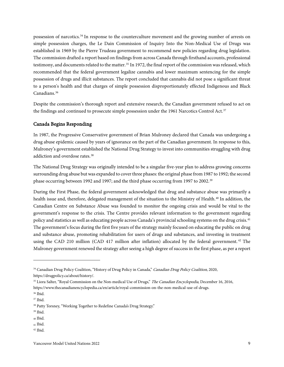possession of narcotics.[34](#page-10-1) In response to the counterculture movement and the growing number of arrests on simple possession charges, the Le Dain Commission of Inquiry Into the Non-Medical Use of Drugs was established in 1969 by the Pierre Trudeau government to recommend new policies regarding drug legislation. The commission drafted a report based on findings from across Canada through firsthand accounts, professional testimony, and documents related to the matter.<sup>[35](#page-10-2)</sup> In 1972, the final report of the commission was released, which recommended that the federal government legalize cannabis and lower maximum sentencing for the simple possession of drugs and illicit substances. The report concluded that cannabis did not pose a significant threat to a person's health and that charges of simple possession disproportionately effected Indigenous and Black Canadians.<sup>[36](#page-10-3)</sup>

Despite the commission's thorough report and extensive research, the Canadian government refused to act on the findings and continued to prosecute simple possession under the 1961 Narcotics Control Act.<sup>[37](#page-10-4)</sup>

#### <span id="page-10-0"></span>Canada Begins Responding

In 1987, the Progressive Conservative government of Brian Mulroney declared that Canada was undergoing a drug abuse epidemic caused by years of ignorance on the part of the Canadian government. In response to this, Mulroney's government established the National Drug Strategy to invest into communities struggling with drug addiction and overdose rates.<sup>[38](#page-10-5)</sup>

The National Drug Strategy was originally intended to be a singular five-year plan to address growing concerns surrounding drug abuse but was expanded to cover three phases: the original phase from 1987 to 1992; the second phase occurring between 1992 and 1997; and the third phase occurring from 1997 to 2002.<sup>[39](#page-10-6)</sup>

During the First Phase, the federal government acknowledged that drug and substance abuse was primarily a health issue and, therefore, delegated management of the situation to the Ministry of Health.<sup>[40](#page-10-7)</sup> In addition, the Canadian Centre on Substance Abuse was founded to monitor the ongoing crisis and would be vital to the government's response to the crisis. The Centre provides relevant information to the government regarding policy and statistics as well as educating people across Canada's provincial schooling systems on the drug crisis.[41](#page-10-8) The government's focus during the first five years of the strategy mainly focused on educating the public on drug and substance abuse, promoting rehabilitation for users of drugs and substances, and investing in treatment using the CAD 210 million (CAD 417 million after inflation) allocated by the federal government.<sup>[42](#page-10-9)</sup> The Mulroney government renewed the strategy after seeing a high degree of success in the first phase, as per a report

<span id="page-10-9"></span><sup>42</sup> Ibid.

<span id="page-10-1"></span><sup>&</sup>lt;sup>34</sup> Canadian Drug Policy Coalition, "History of Drug Policy in Canada," Canadian Drug Policy Coalition, 2020,

https://drugpolicy.ca/about/history/.

<span id="page-10-2"></span><sup>&</sup>lt;sup>35</sup> Liora Salter, "Royal Commission on the Non-medical Use of Drugs," The Canadian Encyclopedia, December 16, 2016, https://www.thecanadianencyclopedia.ca/en/article/royal-commission-on-the-non-medical-use-of-drugs.

<span id="page-10-3"></span><sup>36</sup> Ibid.

<span id="page-10-4"></span><sup>37</sup> Ibid.

<span id="page-10-5"></span><sup>&</sup>lt;sup>38</sup> Patty Torsney, "Working Together to Redefine Canada's Drug Strategy."

<span id="page-10-6"></span><sup>39</sup> Ibid.

<span id="page-10-7"></span><sup>40</sup> Ibid.

<span id="page-10-8"></span><sup>41</sup> Ibid.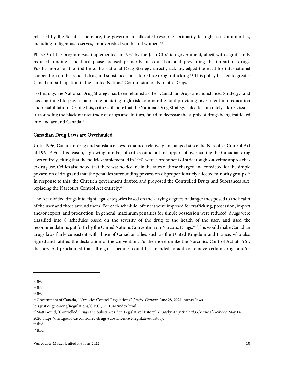released by the Senate. Therefore, the government allocated resources primarily to high risk communities, including Indigenous reserves, impoverished youth, and women.<sup>[43](#page-11-1)</sup>

Phase 3 of the program was implemented in 1997 by the Jean Chrétien government, albeit with significantly reduced funding. The third phase focused primarily on education and preventing the import of drugs. Furthermore, for the first time, the National Drug Strategy directly acknowledged the need for international cooperation on the issue of drug and substance abuse to reduce drug trafficking.[44](#page-11-2) This policy has led to greater Canadian participation in the United Nations' Commission on Narcotic Drugs.

To this day, the National Drug Strategy has been retained as the "Canadian Drugs and Substances Strategy," and has continued to play a major role in aiding high-risk communities and providing investment into education and rehabilitation. Despite this, critics still note that the National Drug Strategy failed to concretely address issues surrounding the black market trade of drugs and, in turn, failed to decrease the supply of drugs being trafficked into and around Canada.<sup>[45](#page-11-3)</sup>

#### <span id="page-11-0"></span>Canadian Drug Laws are Overhauled

Until 1996, Canadian drug and substance laws remained relatively unchanged since the Narcotics Control Act of 1961.[46](#page-11-4) For this reason, a growing number of critics came out in support of overhauling the Canadian drug laws entirely, citing that the policies implemented in 1961 were a proponent of strict tough-on-crime approaches to drug use. Critics also noted that there was no decline in the rates of those charged and convicted for the simple possession of drugs and that the penalties surrounding possession disproportionately affected minority groups.[47](#page-11-5) In response to this, the Chrétien government drafted and proposed the Controlled Drugs and Substances Act, replacing the Narcotics Control Act entirely.[48](#page-11-6)

The Act divided drugs into eight legal categories based on the varying degrees of danger they posed to the health of the user and those around them. For each schedule, offences were imposed for trafficking, possession, import and/or export, and production. In general, maximum penalties for simple possession were reduced, drugs were classified into 8 schedules based on the severity of the drug to the health of the user, and used the recommendations put forth by the United Nations Convention on Narcotic Drugs.[49](#page-11-7) This would make Canadian drugs laws fairly consistent with those of Canadian allies such as the United Kingdom and France, who also signed and ratified the declaration of the convention. Furthermore, unlike the Narcotics Control Act of 1961, the new Act proclaimed that all eight schedules could be amended to add or remove certain drugs and/or

<span id="page-11-1"></span><sup>43</sup> Ibid.

<span id="page-11-2"></span><sup>44</sup> Ibid.

<span id="page-11-3"></span><sup>45</sup> Ibid.

<span id="page-11-4"></span><sup>&</sup>lt;sup>46</sup> Government of Canada, "Narcotics Control Regulations," *Justice Canada*, June 28, 2021, https://laws-

lois.justice.gc.ca/eng/Regulations/C.R.C.,\_c.\_1041/index.html.

<span id="page-11-5"></span><sup>&</sup>lt;sup>47</sup> Matt Gould, "Controlled Drugs and Substances Act: Legislative History," *Brodsky Amy & Gould Criminal Defence*, May 14, 2020, https://mattgould.ca/controlled-drugs-substances-act-legislative-history/.

<span id="page-11-6"></span><sup>48</sup> Ibid.

<span id="page-11-7"></span><sup>49</sup> Ibid.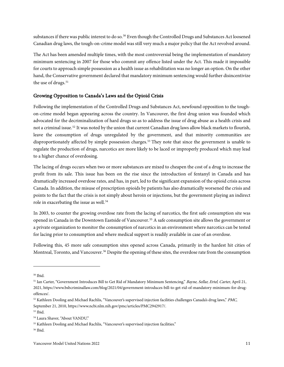substances if there was public interest to do so.<sup>[50](#page-12-1)</sup> Even though the Controlled Drugs and Substances Act loosened Canadian drug laws, the tough-on-crime model was still very much a major policy that the Act revolved around.

The Act has been amended multiple times, with the most controversial being the implementation of mandatory minimum sentencing in 2007 for those who commit any offence listed under the Act. This made it impossible for courts to approach simple possession as a health issue as rehabilitation was no longer an option. On the other hand, the Conservative government declared that mandatory minimum sentencing would further disincentivize the use of drugs.<sup>[51](#page-12-2)</sup>

#### <span id="page-12-0"></span>Growing Opposition to Canada's Laws and the Opioid Crisis

Following the implementation of the Controlled Drugs and Substances Act, newfound opposition to the toughon-crime model began appearing across the country. In Vancouver, the first drug union was founded which advocated for the decriminalization of hard drugs so as to address the issue of drug abuse as a health crisis and not a criminal issue.[52](#page-12-3) It was noted by the union that current Canadian drug laws allow black markets to flourish, leave the consumption of drugs unregulated by the government, and that minority communities are disproportionately affected by simple possession charges.[53](#page-12-4) They note that since the government is unable to regulate the production of drugs, narcotics are more likely to be laced or improperly produced which may lead to a higher chance of overdosing.

The lacing of drugs occurs when two or more substances are mixed to cheapen the cost of a drug to increase the profit from its sale. This issue has been on the rise since the introduction of fentanyl in Canada and has dramatically increased overdose rates, and has, in part, led to the significant expansion of the opioid crisis across Canada. In addition, the misuse of prescription opioids by patients has also dramatically worsened the crisis and points to the fact that the crisis is not simply about heroin or injections, but the government playing an indirect role in exacerbating the issue as well.<sup>[54](#page-12-5)</sup>

In 2003, to counter the growing overdose rate from the lacing of narcotics, the first safe consumption site was opened in Canada in the Downtown Eastside of Vancouver. [55](#page-12-6) A safe consumption site allows the government or a private organization to monitor the consumption of narcotics in an environment where narcotics can be tested for lacing prior to consumption and where medical support is readily available in case of an overdose.

Following this, 45 more safe consumption sites opened across Canada, primarily in the hardest hit cities of Montreal, Toronto, and Vancouver.<sup>[56](#page-12-7)</sup> Despite the opening of these sites, the overdose rate from the consumption

<span id="page-12-1"></span><sup>50</sup> Ibid.

<span id="page-12-2"></span><sup>&</sup>lt;sup>51</sup> Ian Carter, "Government Introduces Bill to Get Rid of Mandatory Minimum Sentencing," Bayne, Sellar, Ertel, Carter, April 21, 2021, https://www.bsbcriminallaw.com/blog/2021/04/government-introduces-bill-to-get-rid-of-mandatory-minimum-for-drugoffences/.

<span id="page-12-3"></span><sup>&</sup>lt;sup>52</sup> Kathleen Dooling and Michael Rachlis, "Vancouver's supervised injection facilities challenges Canada's drug laws," PMC, September 21, 2010, https://www.ncbi.nlm.nih.gov/pmc/articles/PMC2942917/.

<span id="page-12-4"></span><sup>53</sup> Ibid.

<span id="page-12-5"></span><sup>54</sup> Laura Shaver, "About VANDU."

<span id="page-12-6"></span><sup>&</sup>lt;sup>55</sup> Kathleen Dooling and Michael Rachlis, "Vancouver's supervised injection facilities."

<span id="page-12-7"></span><sup>56</sup> Ibid.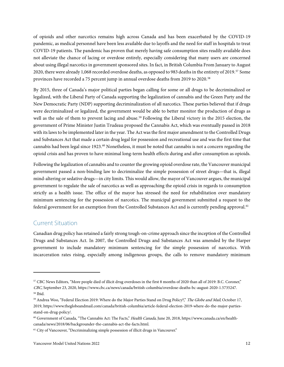of opioids and other narcotics remains high across Canada and has been exacerbated by the COVID-19 pandemic, as medical personnel have been less available due to layoffs and the need for staff in hospitals to treat COVID-19 patients. The pandemic has proven that merely having safe consumption sites readily available does not alleviate the chance of lacing or overdose entirely, especially considering that many users are concerned about using illegal narcotics in government sponsored sites. In fact, in British Columbia From January to August 2020, there were already 1,068 recorded overdose deaths, as opposed to 983 deaths in the entirety of 2019.<sup>[57](#page-13-1)</sup> Some provinces have recorded a 75 percent jump in annual overdose deaths from 2019 to 2020.<sup>[58](#page-13-2)</sup>

By 2015, three of Canada's major political parties began calling for some or all drugs to be decriminalized or legalized, with the Liberal Party of Canada supporting the legalization of cannabis and the Green Party and the New Democratic Party (NDP) supporting decriminalization of all narcotics. These parties believed that if drugs were decriminalized or legalized, the government would be able to better monitor the production of drugs as well as the sale of them to prevent lacing and abuse.<sup>[59](#page-13-3)</sup> Following the Liberal victory in the 2015 election, the government of Prime Minister Justin Trudeau proposed the Cannabis Act, which was eventually passed in 2018 with its laws to be implemented later in the year. The Act was the first major amendment to the Controlled Drugs and Substances Act that made a certain drug legal for possession and recreational use and was the first time that cannabis had been legal since 1923.<sup>[60](#page-13-4)</sup> Nonetheless, it must be noted that cannabis is not a concern regarding the opioid crisis and has proven to have minimal long-term health effects during and after consumption as opioids.

Following the legalization of cannabis and to counter the growing opioid overdose rate, the Vancouver municipal government passed a non-binding law to decriminalize the simple possession of street drugs—that is, illegal mind-altering or sedative drugs—in city limits. This would allow, the mayor of Vancouver argues, the municipal government to regulate the sale of narcotics as well as approaching the opioid crisis in regards to consumption strictly as a health issue. The office of the mayor has stressed the need for rehabilitation over mandatory minimum sentencing for the possession of narcotics. The municipal government submitted a request to the federal government for an exemption from the Controlled Substances Act and is currently pending approval.[61](#page-13-5)

#### <span id="page-13-0"></span>Current Situation

Canadian drug policy has retained a fairly strong tough-on-crime approach since the inception of the Controlled Drugs and Substances Act. In 2007, the Controlled Drugs and Substances Act was amended by the Harper government to include mandatory minimum sentencing for the simple possession of narcotics. With incarceration rates rising, especially among indigenous groups, the calls to remove mandatory minimum

<span id="page-13-1"></span><sup>57</sup> CBC News Editors, "More people died of illicit drug overdoses in the first 8 months of 2020 than all of 2019: B.C. Coroner," CBC, September 23, 2020, https://www.cbc.ca/news/canada/british-columbia/overdose-deaths-bc-august-2020-1.5735247. <sup>58</sup> Ibid.

<span id="page-13-3"></span><span id="page-13-2"></span><sup>&</sup>lt;sup>59</sup> Andrea Woo, "Federal Election 2019: Where do the Major Parties Stand on Drug Policy?," The Globe and Mail, October 17, 2019, https://www.theglobeandmail.com/canada/british-columbia/article-federal-election-2019-where-do-the-major-partiesstand-on-drug-policy/.

<span id="page-13-4"></span><sup>&</sup>lt;sup>60</sup> Government of Canada, "The Cannabis Act: The Facts," Health Canada, June 20, 2018, https://www.canada.ca/en/healthcanada/news/2018/06/backgrounder-the-cannabis-act-the-facts.html.

<span id="page-13-5"></span><sup>61</sup> City of Vancouver, "Decriminalizing simple possession of illicit drugs in Vancouver."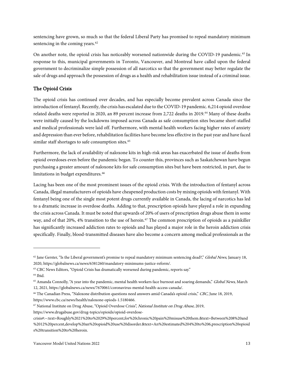sentencing have grown, so much so that the federal Liberal Party has promised to repeal mandatory minimum sentencing in the coming years.<sup>[62](#page-14-1)</sup>

On another note, the opioid crisis has noticeably worsened nationwide during the COVID-19 pandemic.<sup>[63](#page-14-2)</sup> In response to this, municipal governments in Toronto, Vancouver, and Montreal have called upon the federal government to decriminalize simple possession of all narcotics so that the government may better regulate the sale of drugs and approach the possession of drugs as a health and rehabilitation issue instead of a criminal issue.

#### <span id="page-14-0"></span>The Opioid Crisis

The opioid crisis has continued over decades, and has especially become prevalent across Canada since the introduction of fentanyl. Recently, the crisis has escalated due to the COVID-19 pandemic. 6,214 opioid overdose related deaths were reported in 2020, an 89 percent increase from 2,722 deaths in 2019.[64](#page-14-3) Many of these deaths were initially caused by the lockdowns imposed across Canada as safe consumption sites became short-staffed and medical professionals were laid off. Furthermore, with mental health workers facing higher rates of anxiety and depression than ever before, rehabilitation facilities have become less effective in the past year and have faced similar staff shortages to safe consumption sites.<sup>[65](#page-14-4)</sup>

Furthermore, the lack of availability of naloxone kits in high-risk areas has exacerbated the issue of deaths from opioid overdoses even before the pandemic began. To counter this, provinces such as Saskatchewan have begun purchasing a greater amount of naloxone kits for safe consumption sites but have been restricted, in part, due to limitations in budget expenditures.<sup>[66](#page-14-5)</sup>

Lacing has been one of the most prominent issues of the opioid crisis. With the introduction of fentanyl across Canada, illegal manufacturers of opioids have cheapened production costs by mixing opioids with fentanyl. With fentanyl being one of the single most potent drugs currently available in Canada, the lacing of narcotics has led to a dramatic increase in overdose deaths. Adding to that, prescription opioids have played a role in expanding the crisis across Canada. It must be noted that upwards of 20% of users of prescription drugs abuse them in some way, and of that 20%, 4% transition to the use of heroin.<sup>[67](#page-14-6)</sup> The common prescription of opioids as a painkiller has significantly increased addiction rates to opioids and has played a major role in the heroin addiction crisis specifically. Finally, blood-transmitted diseases have also become a concern among medical professionals as the

<span id="page-14-6"></span><sup>67</sup> National Institute on Drug Abuse, "Opioid Overdose Crisis", National Institute on Drug Abuse, 2019,

<span id="page-14-1"></span> $62$  Jane Gerster, "Is the Liberal government's promise to repeal mandatory minimum sentencing dead?," *Global News*, January 18, 2020, https://globalnews.ca/news/6381260/mandatory-minimums-justice-reform/.

<span id="page-14-2"></span><sup>63</sup> CBC News Editors, "Opioid Crisis has dramatically worsened during pandemic, reports say."

<span id="page-14-3"></span><sup>64</sup> Ibid.

<span id="page-14-4"></span><sup>&</sup>lt;sup>65</sup> Amanda Connolly, "A year into the pandemic, mental health workers face burnout and soaring demands," Global News, March 12, 2021, https://globalnews.ca/news/7670061/coronavirus-mental-health-access-canada/.

<span id="page-14-5"></span><sup>&</sup>lt;sup>66</sup> The Canadian Press, "Naloxone distribution questions need answers amid Canada's opioid crisis," CBC, June 18, 2019, https://www.cbc.ca/news/health/naloxone-opiods-1.5180466.

https://www.drugabuse.gov/drug-topics/opioids/opioid-overdose-

crisis#:~:text=Roughly%2021%20to%2029%20percent,for%20chronic%20pain%20misuse%20them.&text=Between%208%20and %2012%20percent,develop%20an%20opioid%20use%20disorder.&text=An%20estimated%204%20to%206,prescription%20opioid s%20transition%20to%20heroin.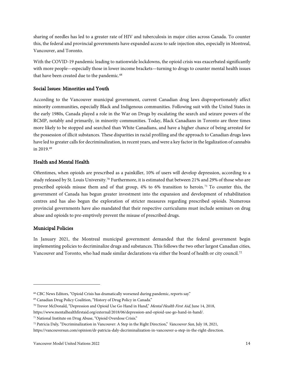sharing of needles has led to a greater rate of HIV and tuberculosis in major cities across Canada. To counter this, the federal and provincial governments have expanded access to safe injection sites, especially in Montreal, Vancouver, and Toronto.

With the COVID-19 pandemic leading to nationwide lockdowns, the opioid crisis was exacerbated significantly with more people—especially those in lower income brackets—turning to drugs to counter mental health issues that have been created due to the pandemic.<sup>[68](#page-15-3)</sup>

#### <span id="page-15-0"></span>Social Issues: Minorities and Youth

According to the Vancouver municipal government, current Canadian drug laws disproportionately affect minority communities, especially Black and Indigenous communities. Following suit with the United States in the early 1980s, Canada played a role in the War on Drugs by escalating the search and seizure powers of the RCMP, notably and primarily, in minority communities. Today, Black Canadians in Toronto are three times more likely to be stopped and searched than White Canadians, and have a higher chance of being arrested for the possession of illicit substances. These disparities in racial profiling and the approach to Canadian drugs laws have led to greater calls for decriminalization, in recent years, and were a key factor in the legalization of cannabis in 2019.[69](#page-15-4)

#### <span id="page-15-1"></span>Health and Mental Health

Oftentimes, when opioids are prescribed as a painkiller, 10% of users will develop depression, according to a study released by St. Louis University.[70](#page-15-5) Furthermore, it is estimated that between 21% and 29% of those who are prescribed opioids misuse them and of that group, 4% to 6% transition to heroin. [71](#page-15-6) To counter this, the government of Canada has begun greater investment into the expansion and development of rehabilitation centres and has also begun the exploration of stricter measures regarding prescribed opioids. Numerous provincial governments have also mandated that their respective curriculums must include seminars on drug abuse and opioids to pre-emptively prevent the misuse of prescribed drugs.

#### <span id="page-15-2"></span>Municipal Policies

In January 2021, the Montreal municipal government demanded that the federal government begin implementing policies to decriminalize drugs and substances. This follows the two other largest Canadian cities, Vancouver and Toronto, who had made similar declarations via either the board of health or city council.<sup>[72](#page-15-7)</sup>

<span id="page-15-3"></span><sup>68</sup> CBC News Editors, "Opioid Crisis has dramatically worsened during pandemic, reports say."

<span id="page-15-4"></span><sup>69</sup> Canadian Drug Policy Coalition, "History of Drug Policy in Canada."

<span id="page-15-5"></span><sup>&</sup>lt;sup>70</sup> Trevor McDonald, "Depression and Opioid Use Go Hand in Hand," Mental Health First Aid, June 14, 2018,

https://www.mentalhealthfirstaid.org/external/2018/06/depression-and-opioid-use-go-hand-in-hand/.

<span id="page-15-6"></span><sup>71</sup> National Institute on Drug Abuse, "Opioid Overdose Crisis."

<span id="page-15-7"></span> $72$  Patricia Daly, "Decriminalization in Vancouver: A Step in the Right Direction," Vancouver Sun, July 18, 2021,

https://vancouversun.com/opinion/dr-patricia-daly-decriminalization-in-vancouver-a-step-in-the-right-direction.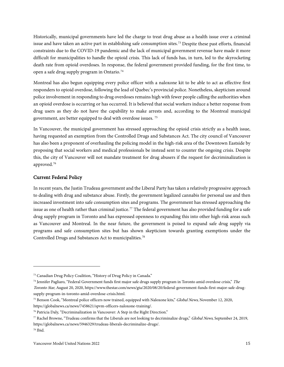Historically, municipal governments have led the charge to treat drug abuse as a health issue over a criminal issue and have taken an active part in establishing safe consumption sites.<sup>[73](#page-16-1)</sup> Despite these past efforts, financial constraints due to the COVID-19 pandemic and the lack of municipal government revenue have made it more difficult for municipalities to handle the opioid crisis. This lack of funds has, in turn, led to the skyrocketing death rate from opioid overdoses. In response, the federal government provided funding, for the first time, to open a safe drug supply program in Ontario.[74](#page-16-2)

Montreal has also begun equipping every police officer with a naloxone kit to be able to act as effective first responders to opioid overdose, following the lead of Quebec's provincial police. Nonetheless, skepticism around police involvement in responding to drug overdoses remains high with fewer people calling the authorities when an opioid overdose is occurring or has occurred. It is believed that social workers induce a better response from drug users as they do not have the capability to make arrests and, according to the Montreal municipal government, are better equipped to deal with overdose issues. [75](#page-16-3)

In Vancouver, the municipal government has stressed approaching the opioid crisis strictly as a health issue, having requested an exemption from the Controlled Drugs and Substances Act. The city council of Vancouver has also been a proponent of overhauling the policing model in the high-risk area of the Downtown Eastside by proposing that social workers and medical professionals be instead sent to counter the ongoing crisis. Despite this, the city of Vancouver will not mandate treatment for drug abusers if the request for decriminalization is approved.[76](#page-16-4)

#### <span id="page-16-0"></span>Current Federal Policy

In recent years, the Justin Trudeau government and the Liberal Party has taken a relatively progressive approach to dealing with drug and substance abuse. Firstly, the government legalized cannabis for personal use and then increased investment into safe consumption sites and programs. The government has stressed approaching the issue as one of health rather than criminal justice.<sup>[77](#page-16-5)</sup> The federal government has also provided funding for a safe drug supply program in Toronto and has expressed openness to expanding this into other high-risk areas such as Vancouver and Montreal. In the near future, the government is poised to expand safe drug supply via programs and safe consumption sites but has shown skepticism towards granting exemptions under the Controlled Drugs and Substances Act to municipalities.[78](#page-16-6)

<span id="page-16-1"></span><sup>73</sup> Canadian Drug Policy Coalition, "History of Drug Policy in Canada."

<span id="page-16-2"></span> $^{74}$  Jennifer Pagliaro, "Federal Government funds first major safe drugs supply program in Toronto amid overdose crisis," The Toronto Star, August 20, 2020, https://www.thestar.com/news/gta/2020/08/20/federal-government-funds-first-major-safe-drugsupply-program-in-toronto-amid-overdose-crisis.html.

<span id="page-16-3"></span><sup>&</sup>lt;sup>75</sup> Benson Cook, "Montreal police officers now trained, equipped with Naloxone kits," *Global News*, November 12, 2020, https://globalnews.ca/news/7458621/spvm-officers-naloxone-training/.

<span id="page-16-4"></span><sup>76</sup> Patricia Daly, "Decriminalization in Vancouver: A Step in the Right Direction."

<span id="page-16-5"></span><sup>77</sup> Rachel Browne, "Trudeau confirms that the Liberals are not looking to decriminalize drugs," Global News, September 24, 2019, https://globalnews.ca/news/5946329/trudeau-liberals-decriminalize-drugs/.

<span id="page-16-6"></span><sup>78</sup> Ibid.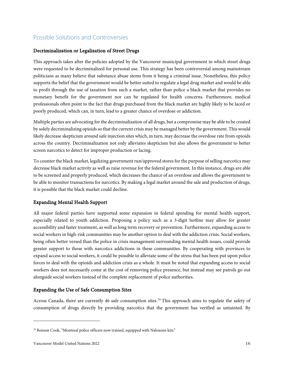# <span id="page-17-0"></span>Possible Solutions and Controversies

#### <span id="page-17-1"></span>Decriminalization or Legalization of Street Drugs

This approach takes after the policies adopted by the Vancouver municipal government in which street drugs were requested to be decriminalized for personal use. This strategy has been controversial among mainstream politicians as many believe that substance abuse stems from it being a criminal issue. Nonetheless, this policy supports the belief that the government would be better suited to regulate a legal drug market and would be able to profit through the use of taxation from such a market, rather than police a black market that provides no monetary benefit for the government nor can be regulated for health concerns. Furthermore, medical professionals often point to the fact that drugs purchased from the black market are highly likely to be laced or poorly produced, which can, in turn, lead to a greater chance of overdose or addiction.

Multiple parties are advocating for the decriminalization of all drugs, but a compromise may be able to be created by solely decriminalizing opioids so that the current crisis may be managed better by the government. This would likely decrease skepticism around safe injection sites which, in turn, may decrease the overdose rate from opioids across the country. Decriminalization not only alleviates skepticism but also allows the government to better screen narcotics to detect for improper production or lacing.

To counter the black market, legalizing government run/approved stores for the purpose of selling narcotics may decrease black market activity as well as raise revenue for the federal government. In this instance, drugs are able to be screened and properly produced, which decreases the chance of an overdose and allows the government to be able to monitor transactions for narcotics. By making a legal market around the sale and production of drugs, it is possible that the black market could decline.

#### <span id="page-17-2"></span>Expanding Mental Health Support

All major federal parties have supported some expansion in federal spending for mental health support, especially related to youth addiction. Proposing a policy such as a 3-digit hotline may allow for greater accessibility and faster treatment, as well as long term recovery or prevention. Furthermore, expanding access to social workers in high-risk communities may be another option to deal with the addiction crisis. Social workers, being often better versed than the police in crisis management surrounding mental health issues, could provide greater support to those with narcotics addictions in these communities. By cooperating with provinces to expand access to social workers, it could be possible to alleviate some of the stress that has been put upon police forces to deal with the opioids and addiction crisis as a whole. It must be noted that expanding access to social workers does not necessarily come at the cost of removing police presence, but instead may see patrols go out alongside social workers instead of the complete replacement of police authorities.

#### <span id="page-17-3"></span>Expanding the Use of Safe Consumption Sites

Across Canada, there are currently 46 safe consumption sites.<sup>[79](#page-17-4)</sup> This approach aims to regulate the safety of consumption of drugs directly by providing narcotics that the government has verified as untainted. By

<span id="page-17-4"></span><sup>79</sup> Benson Cook, "Montreal police officers now trained, equipped with Naloxone kits."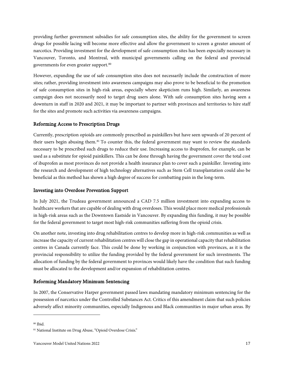providing further government subsidies for safe consumption sites, the ability for the government to screen drugs for possible lacing will become more effective and allow the government to screen a greater amount of narcotics. Providing investment for the development of safe consumption sites has been especially necessary in Vancouver, Toronto, and Montreal, with municipal governments calling on the federal and provincial governments for even greater support.<sup>[80](#page-18-3)</sup>

However, expanding the use of safe consumption sites does not necessarily include the construction of more sites; rather, providing investment into awareness campaigns may also prove to be beneficial to the promotion of safe consumption sites in high-risk areas, especially where skepticism runs high. Similarly, an awareness campaign does not necessarily need to target drug users alone. With safe consumption sites having seen a downturn in staff in 2020 and 2021, it may be important to partner with provinces and territories to hire staff for the sites and promote such activities via awareness campaigns.

#### <span id="page-18-0"></span>Reforming Access to Prescription Drugs

Currently, prescription opioids are commonly prescribed as painkillers but have seen upwards of 20 percent of their users begin abusing them.<sup>[81](#page-18-4)</sup> To counter this, the federal government may want to review the standards necessary to be prescribed such drugs to reduce their use. Increasing access to ibuprofen, for example, can be used as a substitute for opioid painkillers. This can be done through having the government cover the total cost of ibuprofen as most provinces do not provide a health insurance plan to cover such a painkiller. Investing into the research and development of high technology alternatives such as Stem Cell transplantation could also be beneficial as this method has shown a high degree of success for combatting pain in the long-term.

#### <span id="page-18-1"></span>Investing into Overdose Prevention Support

In July 2021, the Trudeau government announced a CAD 7.5 million investment into expanding access to healthcare workers that are capable of dealing with drug overdoses. This would place more medical professionals in high-risk areas such as the Downtown Eastside in Vancouver. By expanding this funding, it may be possible for the federal government to target most high-risk communities suffering from the opioid crisis.

On another note, investing into drug rehabilitation centres to develop more in high-risk communities as well as increase the capacity of current rehabilitation centres will close the gap in operational capacity that rehabilitation centres in Canada currently face. This could be done by working in conjunction with provinces, as it is the provincial responsibility to utilize the funding provided by the federal government for such investments. The allocation of funding by the federal government to provinces would likely have the condition that such funding must be allocated to the development and/or expansion of rehabilitation centres.

#### <span id="page-18-2"></span>Reforming Mandatory Minimum Sentencing

In 2007, the Conservative Harper government passed laws mandating mandatory minimum sentencing for the possession of narcotics under the Controlled Substances Act. Critics of this amendment claim that such policies adversely affect minority communities, especially Indigenous and Black communities in major urban areas. By

<span id="page-18-3"></span><sup>80</sup> Ibid.

<span id="page-18-4"></span><sup>81</sup> National Institute on Drug Abuse, "Opioid Overdose Crisis."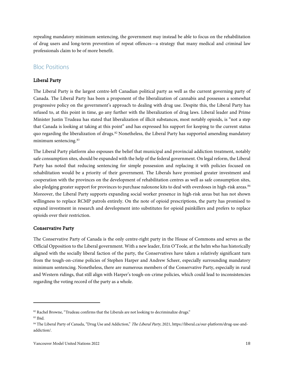repealing mandatory minimum sentencing, the government may instead be able to focus on the rehabilitation of drug users and long-term prevention of repeat offences—a strategy that many medical and criminal law professionals claim to be of more benefit.

# <span id="page-19-0"></span>Bloc Positions

#### <span id="page-19-1"></span>Liberal Party

The Liberal Party is the largest centre-left Canadian political party as well as the current governing party of Canada. The Liberal Party has been a proponent of the liberalization of cannabis and possesses a somewhat progressive policy on the government's approach to dealing with drug use. Despite this, the Liberal Party has refused to, at this point in time, go any further with the liberalization of drug laws. Liberal leader and Prime Minister Justin Trudeau has stated that liberalization of illicit substances, most notably opioids, is "not a step that Canada is looking at taking at this point" and has expressed his support for keeping to the current status quo regarding the liberalization of drugs.[82](#page-19-3) Nonetheless, the Liberal Party has supported amending mandatory minimum sentencing.[83](#page-19-4)

The Liberal Party platform also espouses the belief that municipal and provincial addiction treatment, notably safe consumption sites, should be expanded with the help of the federal government. On legal reform, the Liberal Party has noted that reducing sentencing for simple possession and replacing it with policies focused on rehabilitation would be a priority of their government. The Liberals have promised greater investment and cooperation with the provinces on the development of rehabilitation centres as well as safe consumption sites, also pledging greater support for provinces to purchase naloxone kits to deal with overdoses in high-risk areas.<sup>[84](#page-19-5)</sup> Moreover, the Liberal Party supports expanding social worker presence in high-risk areas but has not shown willingness to replace RCMP patrols entirely. On the note of opioid prescriptions, the party has promised to expand investment in research and development into substitutes for opioid painkillers and prefers to replace opioids over their restriction.

#### <span id="page-19-2"></span>Conservative Party

The Conservative Party of Canada is the only centre-right party in the House of Commons and serves as the Official Opposition to the Liberal government. With a new leader, Erin O'Toole, at the helm who has historically aligned with the socially liberal faction of the party, the Conservatives have taken a relatively significant turn from the tough-on-crime policies of Stephen Harper and Andrew Scheer, especially surrounding mandatory minimum sentencing. Nonetheless, there are numerous members of the Conservative Party, especially in rural and Western ridings, that still align with Harper's tough-on-crime policies, which could lead to inconsistencies regarding the voting record of the party as a whole.

<span id="page-19-3"></span><sup>82</sup> Rachel Browne, "Trudeau confirms that the Liberals are not looking to decriminalize drugs."

<span id="page-19-4"></span><sup>83</sup> Ibid.

<span id="page-19-5"></span><sup>84</sup> The Liberal Party of Canada, "Drug Use and Addiction," The Liberal Party, 2021, https://liberal.ca/our-platform/drug-use-andaddiction/.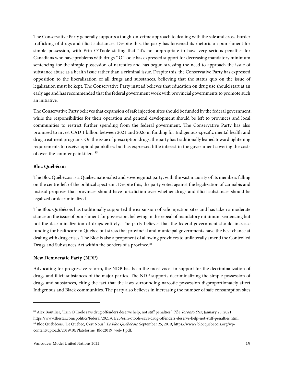The Conservative Party generally supports a tough-on-crime approach to dealing with the sale and cross-border trafficking of drugs and illicit substances. Despite this, the party has loosened its rhetoric on punishment for simple possession, with Erin O'Toole stating that "it's not appropriate to have very serious penalties for Canadians who have problems with drugs." O'Toole has expressed support for decreasing mandatory minimum sentencing for the simple possession of narcotics and has begun stressing the need to approach the issue of substance abuse as a health issue rather than a criminal issue. Despite this, the Conservative Party has expressed opposition to the liberalization of all drugs and substances, believing that the status quo on the issue of legalization must be kept. The Conservative Party instead believes that education on drug use should start at an early age and has recommended that the federal government work with provincial governments to promote such an initiative.

The Conservative Party believes that expansion of safe injection sites should be funded by the federal government, while the responsibilities for their operation and general development should be left to provinces and local communities to restrict further spending from the federal government. The Conservative Party has also promised to invest CAD 1 billion between 2021 and 2026 in funding for Indigenous-specific mental health and drug treatment programs. On the issue of prescription drugs, the party has traditionally leaned toward tightening requirements to receive opioid painkillers but has expressed little interest in the government covering the costs of over-the-counter painkillers.<sup>[85](#page-20-2)</sup>

#### <span id="page-20-0"></span>Bloc Québécois

The Bloc Québécois is a Quebec nationalist and sovereigntist party, with the vast majority of its members falling on the centre-left of the political spectrum. Despite this, the party voted against the legalization of cannabis and instead proposes that provinces should have jurisdiction over whether drugs and illicit substances should be legalized or decriminalized.

The Bloc Québécois has traditionally supported the expansion of safe injection sites and has taken a moderate stance on the issue of punishment for possession, believing in the repeal of mandatory minimum sentencing but not the decriminalization of drugs entirely. The party believes that the federal government should increase funding for healthcare to Quebec but stress that provincial and municipal governments have the best chance at dealing with drug crises. The Bloc is also a proponent of allowing provinces to unilaterally amend the Controlled Drugs and Substances Act within the borders of a province.<sup>[86](#page-20-3)</sup>

#### <span id="page-20-1"></span>New Democratic Party (NDP)

Advocating for progressive reform, the NDP has been the most vocal in support for the decriminalization of drugs and illicit substances of the major parties. The NDP supports decriminalizing the simple possession of drugs and substances, citing the fact that the laws surrounding narcotic possession disproportionately affect Indigenous and Black communities. The party also believes in increasing the number of safe consumption sites

<span id="page-20-3"></span><span id="page-20-2"></span><sup>&</sup>lt;sup>85</sup> Alex Boutilier, "Erin O'Toole says drug offenders deserve help, not stiff penalties," *The Toronto Star*, January 25, 2021, https://www.thestar.com/politics/federal/2021/01/25/erin-otoole-says-drug-offenders-deserve-help-not-stiff-penalties.html. 86 Bloc Québécois, "Le Québec, C'est Nous," Le Bloc Québécois, September 25, 2019, https://www2.blocquebecois.org/wpcontent/uploads/2019/10/Plateforme\_Bloc2019\_web-1.pdf.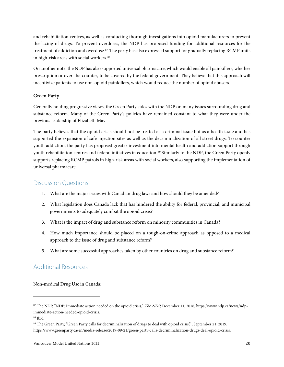and rehabilitation centres, as well as conducting thorough investigations into opioid manufacturers to prevent the lacing of drugs. To prevent overdoses, the NDP has proposed funding for additional resources for the treatment of addiction and overdose.<sup>[87](#page-21-3)</sup> The party has also expressed support for gradually replacing RCMP units in high-risk areas with social workers.<sup>[88](#page-21-4)</sup>

On another note, the NDP has also supported universal pharmacare, which would enable all painkillers, whether prescription or over-the-counter, to be covered by the federal government. They believe that this approach will incentivize patients to use non-opioid painkillers, which would reduce the number of opioid abusers.

#### <span id="page-21-0"></span>Green Party

Generally holding progressive views, the Green Party sides with the NDP on many issues surrounding drug and substance reform. Many of the Green Party's policies have remained constant to what they were under the previous leadership of Elizabeth May.

The party believes that the opioid crisis should not be treated as a criminal issue but as a health issue and has supported the expansion of safe injection sites as well as the decriminalization of all street drugs. To counter youth addiction, the party has proposed greater investment into mental health and addiction support through youth rehabilitation centres and federal initiatives in education.<sup>[89](#page-21-5)</sup> Similarly to the NDP, the Green Party openly supports replacing RCMP patrols in high-risk areas with social workers, also supporting the implementation of universal pharmacare.

### <span id="page-21-1"></span>Discussion Questions

- 1. What are the major issues with Canadian drug laws and how should they be amended?
- 2. What legislation does Canada lack that has hindered the ability for federal, provincial, and municipal governments to adequately combat the opioid crisis?
- 3. What is the impact of drug and substance reform on minority communities in Canada?
- 4. How much importance should be placed on a tough-on-crime approach as opposed to a medical approach to the issue of drug and substance reform?
- 5. What are some successful approaches taken by other countries on drug and substance reform?

# <span id="page-21-2"></span>Additional Resources

Non-medical Drug Use in Canada:

<span id="page-21-3"></span><sup>87</sup> The NDP, "NDP: Immediate action needed on the opioid crisis," The NDP, December 11, 2018, https://www.ndp.ca/news/ndpimmediate-action-needed-opioid-crisis.

<span id="page-21-4"></span><sup>88</sup> Ibid.

<span id="page-21-5"></span><sup>&</sup>lt;sup>89</sup> The Green Party, "Green Party calls for decriminalization of drugs to deal with opioid crisis,", September 21, 2019, https://www.greenparty.ca/en/media-release/2019-09-21/green-party-calls-decriminalization-drugs-deal-opioid-crisis.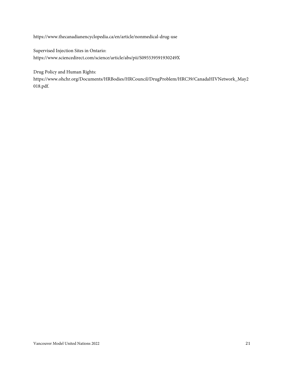https://www.thecanadianencyclopedia.ca/en/article/nonmedical-drug-use

Supervised Injection Sites in Ontario: https://www.sciencedirect.com/science/article/abs/pii/S095539591930249X

Drug Policy and Human Rights:

https://www.ohchr.org/Documents/HRBodies/HRCouncil/DrugProblem/HRC39/CanadaHIVNetwork\_May2 018.pdf.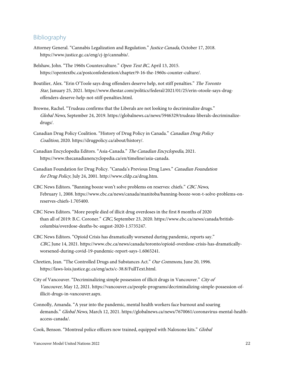#### <span id="page-23-0"></span>Bibliography

- Attorney General. "Cannabis Legalization and Regulation." Justice Canada, October 17, 2018. https://www.justice.gc.ca/eng/cj-jp/cannabis/.
- Belshaw, John. "The 1960s Counterculture." Open Text BC, April 13, 2015. https://opentextbc.ca/postconfederation/chapter/9-16-the-1960s-counter-culture/.
- Boutilier, Alex. "Erin O'Toole says drug offenders deserve help, not stiff penalties." The Toronto Star, January 25, 2021. https://www.thestar.com/politics/federal/2021/01/25/erin-otoole-says-drugoffenders-deserve-help-not-stiff-penalties.html.
- Browne, Rachel. "Trudeau confirms that the Liberals are not looking to decriminalize drugs." Global News, September 24, 2019. https://globalnews.ca/news/5946329/trudeau-liberals-decriminalizedrugs/.
- Canadian Drug Policy Coalition. "History of Drug Policy in Canada." Canadian Drug Policy Coalition, 2020. https://drugpolicy.ca/about/history/.
- Canadian Encyclopedia Editors. "Asia-Canada." The Canadian Encyclopedia, 2021. https://www.thecanadianencyclopedia.ca/en/timeline/asia-canada.
- Canadian Foundation for Drug Policy. "Canada's Previous Drug Laws." Canadian Foundation for Drug Policy, July 24, 2001. http://www.cfdp.ca/drug.htm.
- CBC News Editors. "Banning booze won't solve problems on reserves: chiefs." CBC News, February 1, 2008. https://www.cbc.ca/news/canada/manitoba/banning-booze-won-t-solve-problems-onreserves-chiefs-1.705400.
- CBC News Editors. "More people died of illicit drug overdoses in the first 8 months of 2020 than all of 2019: B.C. Coroner." CBC, September 23, 2020. https://www.cbc.ca/news/canada/britishcolumbia/overdose-deaths-bc-august-2020-1.5735247.
- CBC News Editors. "Opioid Crisis has dramatically worsened during pandemic, reports say." CBC, June 14, 2021. https://www.cbc.ca/news/canada/toronto/opioid-overdose-crisis-has-dramaticallyworsened-during-covid-19-pandemic-report-says-1.6065241.
- Chretien, Jean. "The Controlled Drugs and Substances Act." Our Commons, June 20, 1996. https://laws-lois.justice.gc.ca/eng/acts/c-38.8/FullText.html.
- City of Vancouver. "Decriminalizing simple possession of illicit drugs in Vancouver." City of Vancouver, May 12, 2021. https://vancouver.ca/people-programs/decriminalizing-simple-possession-ofillicit-drugs-in-vancouver.aspx.
- Connolly, Amanda. "A year into the pandemic, mental health workers face burnout and soaring demands." Global News, March 12, 2021. https://globalnews.ca/news/7670061/coronavirus-mental-healthaccess-canada/.
- Cook, Benson. "Montreal police officers now trained, equipped with Naloxone kits." Global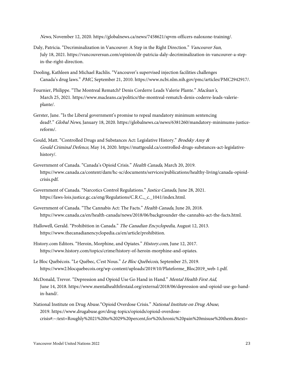News, November 12, 2020. https://globalnews.ca/news/7458621/spvm-officers-naloxone-training/.

- Daly, Patricia. "Decriminalization in Vancouver: A Step in the Right Direction." Vancouver Sun, July 18, 2021. https://vancouversun.com/opinion/dr-patricia-daly-decriminalization-in-vancouver-a-stepin-the-right-direction.
- Dooling, Kathleen and Michael Rachlis. "Vancouver's supervised injection facilities challenges Canada's drug laws." PMC, September 21, 2010. https://www.ncbi.nlm.nih.gov/pmc/articles/PMC2942917/.
- Fournier, Philippe. "The Montreal Rematch? Denis Corderre Leads Valerie Plante." Maclean's, March 25, 2021. https://www.macleans.ca/politics/the-montreal-rematch-denis-coderre-leads-valerieplante/.
- Gerster, Jane. "Is the Liberal government's promise to repeal mandatory minimum sentencing dead?." Global News, January 18, 2020. https://globalnews.ca/news/6381260/mandatory-minimums-justicereform/.
- Gould, Matt. "Controlled Drugs and Substances Act: Legislative History." Brodsky Amy & Gould Criminal Defence, May 14, 2020. https://mattgould.ca/controlled-drugs-substances-act-legislativehistory/.
- Government of Canada. "Canada's Opioid Crisis." Health Canada, March 20, 2019. https://www.canada.ca/content/dam/hc-sc/documents/services/publications/healthy-living/canada-opioidcrisis.pdf.
- Government of Canada. "Narcotics Control Regulations." Justice Canada, June 28, 2021. https://laws-lois.justice.gc.ca/eng/Regulations/C.R.C.,\_c.\_1041/index.html.
- Government of Canada. "The Cannabis Act: The Facts." Health Canada, June 20, 2018. https://www.canada.ca/en/health-canada/news/2018/06/backgrounder-the-cannabis-act-the-facts.html.
- Hallowell, Gerald. "Prohibition in Canada." The Canadian Encyclopedia, August 12, 2013. https://www.thecanadianencyclopedia.ca/en/article/prohibition.
- History.com Editors. "Heroin, Morphine, and Opiates." History.com, June 12, 2017. https://www.history.com/topics/crime/history-of-heroin-morphine-and-opiates.
- Le Bloc Québécois. "Le Québec, C'est Nous." Le Bloc Québécois, September 25, 2019. https://www2.blocquebecois.org/wp-content/uploads/2019/10/Plateforme\_Bloc2019\_web-1.pdf.
- McDonald, Trevor. "Depression and Opioid Use Go Hand in Hand." Mental Health First Aid, June 14, 2018. https://www.mentalhealthfirstaid.org/external/2018/06/depression-and-opioid-use-go-handin-hand/.
- National Institute on Drug Abuse."Opioid Overdose Crisis." National Institute on Drug Abuse, 2019. https://www.drugabuse.gov/drug-topics/opioids/opioid-overdosecrisis#:~:text=Roughly%2021%20to%2029%20percent,for%20chronic%20pain%20misuse%20them.&text=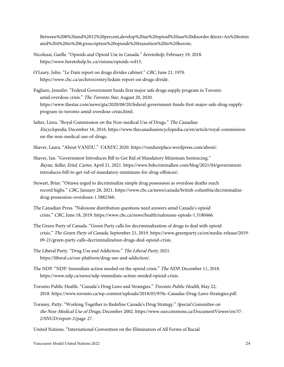Between%208%20and%2012%20percent,develop%20an%20opioid%20use%20disorder.&text=An%20estim ated%204%20to%206,prescription%20opioids%20transition%20to%20heroin.

- Nicolussi, Gaelle. "Opioids and Opioid Use in Canada." heretohelp, February 19, 2018. https://www.heretohelp.bc.ca/visions/opioids-vol13.
- O'Leary, John. "Le Dain report on drugs divides cabinet." CBC, June 21, 1970. https://www.cbc.ca/archives/entry/ledain-report-on-drugs-divide.
- Pagliaro, Jennifer. "Federal Government funds first major safe drugs supply program in Toronto amid overdose crisis." The Toronto Star, August 20, 2020. https://www.thestar.com/news/gta/2020/08/20/federal-government-funds-first-major-safe-drug-supplyprogram-in-toronto-amid-overdose-crisis.html.
- Salter, Liora. "Royal Commission on the Non-medical Use of Drugs." The Canadian Encyclopedia, December 16, 2016. https://www.thecanadianencyclopedia.ca/en/article/royal-commissionon-the-non-medical-use-of-drugs.
- Shaver, Laura. "About VANDU." VANDU, 2020. https://vandureplace.wordpress.com/about/.
- Shaver, Ian. "Government Introduces Bill to Get Rid of Mandatory Minimum Sentencing." Bayne, Sellar, Ertel, Carter, April 21, 2021. https://www.bsbcriminallaw.com/blog/2021/04/governmentintroduces-bill-to-get-rid-of-mandatory-minimum-for-drug-offences/.
- Stewart, Briar. "Ottawa urged to decriminalize simple drug possession as overdose deaths reach record highs." CBC, January 28, 2021. https://www.cbc.ca/news/canada/british-columbia/decriminalizedrug-possession-overdoses-1.5882360.
- The Canadian Press. "Naloxone distribution questions need answers amid Canada's opioid crisis." CBC, June 18, 2019. https://www.cbc.ca/news/health/naloxone-opiods-1.5180466.
- The Green Party of Canada. "Green Party calls for decriminalization of drugs to deal with opioid crisis." The Green Party of Canada, September 21, 2019. https://www.greenparty.ca/en/media-release/2019- 09-21/green-party-calls-decriminalization-drugs-deal-opioid-crisis.
- The Liberal Party. "Drug Use and Addiction." The Liberal Party, 2021. https://liberal.ca/our-platform/drug-use-and-addiction/.
- The NDP. "NDP: Immediate action needed on the opioid crisis." The NDP, December 11, 2018. https://www.ndp.ca/news/ndp-immediate-action-needed-opioid-crisis.
- Toronto Public Health. "Canada's Drug Laws and Strategies." Toronto Public Health, May 22, 2018. https://www.toronto.ca/wp-content/uploads/2018/05/970c-Canadas-Drug-Laws-Strategies.pdf.
- Torsney, Patty. "Working Together to Redefine Canada's Drug Strategy." Special Committee on the Non-Medical Use of Drugs, December 2002. https://www.ourcommons.ca/DocumentViewer/en/37- 2/SNUD/report-2/page-27.
- United Nations. "International Convention on the Elimination of All Forms of Racial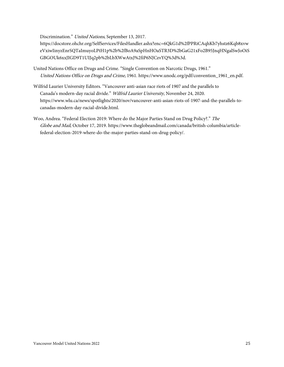Discrimination." United Nations, September 13, 2017.

https://docstore.ohchr.org/SelfServices/FilesHandler.ashx?enc=6QkG1d%2fPPRiCAqhKb7yhstz6Kqb8xvw eVxiwIinyzEnrSQTaImuyoLPtH1p%2b%2fBoA9aSpHnHOaSTR3D%2bGaG21xFo2B95JnqHNgalSwJoOiS GBGOUk6xxJIGD9T1UIJq2pb%2bLbXWwAtxJ%2fiP6NJCzvYQ%3d%3d.

- United Nations Office on Drugs and Crime. "Single Convention on Narcotic Drugs, 1961." United Nations Office on Drugs and Crime, 1961. https://www.unodc.org/pdf/convention\_1961\_en.pdf.
- Wilfrid Laurier University Editors. "Vancouver anti-asian race riots of 1907 and the parallels to Canada's modern-day racial divide." Wilfrid Laurier University, November 24, 2020. https://www.wlu.ca/news/spotlights/2020/nov/vancouver-anti-asian-riots-of-1907-and-the-parallels-tocanadas-modern-day-racial-divide.html.
- Woo, Andrea. "Federal Election 2019: Where do the Major Parties Stand on Drug Policy?." The Globe and Mail, October 17, 2019. https://www.theglobeandmail.com/canada/british-columbia/articlefederal-election-2019-where-do-the-major-parties-stand-on-drug-policy/.